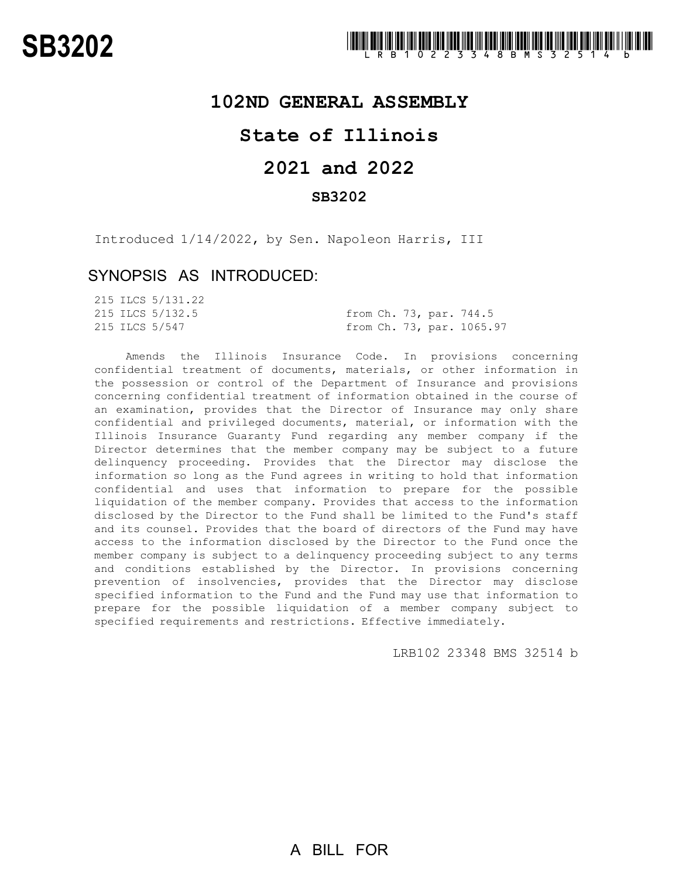## **102ND GENERAL ASSEMBLY**

## **State of Illinois**

# **2021 and 2022**

### **SB3202**

Introduced 1/14/2022, by Sen. Napoleon Harris, III

### SYNOPSIS AS INTRODUCED:

|  | 215 ILCS 5/131.22 |                           |  |
|--|-------------------|---------------------------|--|
|  | 215 ILCS 5/132.5  | from Ch. 73, par. 744.5   |  |
|  | 215 ILCS 5/547    | from Ch. 73, par. 1065.97 |  |

Amends the Illinois Insurance Code. In provisions concerning confidential treatment of documents, materials, or other information in the possession or control of the Department of Insurance and provisions concerning confidential treatment of information obtained in the course of an examination, provides that the Director of Insurance may only share confidential and privileged documents, material, or information with the Illinois Insurance Guaranty Fund regarding any member company if the Director determines that the member company may be subject to a future delinquency proceeding. Provides that the Director may disclose the information so long as the Fund agrees in writing to hold that information confidential and uses that information to prepare for the possible liquidation of the member company. Provides that access to the information disclosed by the Director to the Fund shall be limited to the Fund's staff and its counsel. Provides that the board of directors of the Fund may have access to the information disclosed by the Director to the Fund once the member company is subject to a delinquency proceeding subject to any terms and conditions established by the Director. In provisions concerning prevention of insolvencies, provides that the Director may disclose specified information to the Fund and the Fund may use that information to prepare for the possible liquidation of a member company subject to specified requirements and restrictions. Effective immediately.

LRB102 23348 BMS 32514 b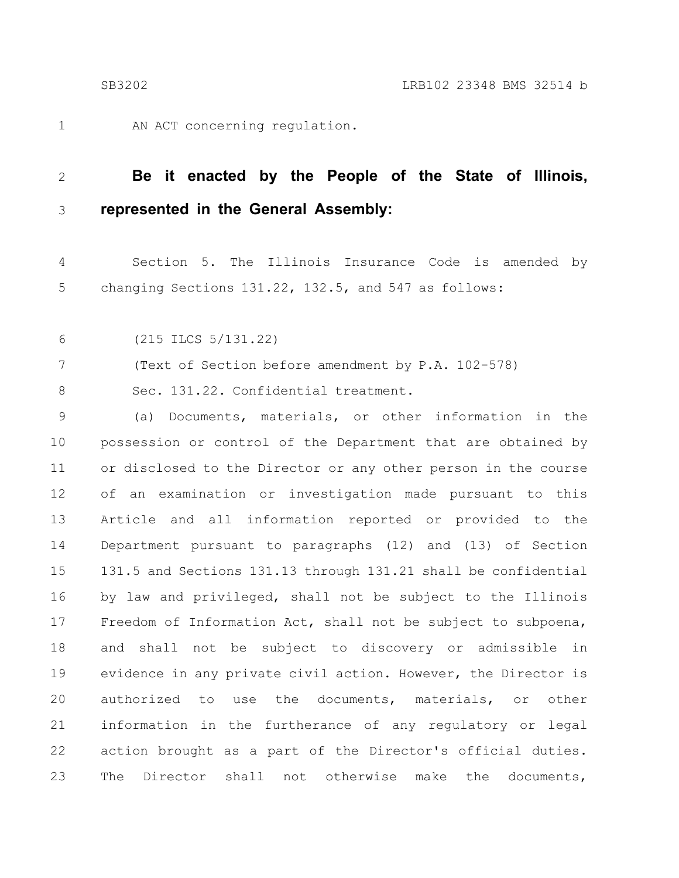1

AN ACT concerning regulation.

#### **Be it enacted by the People of the State of Illinois, represented in the General Assembly:** 2 3

Section 5. The Illinois Insurance Code is amended by changing Sections 131.22, 132.5, and 547 as follows: 4 5

(215 ILCS 5/131.22) 6

(Text of Section before amendment by P.A. 102-578) 7

Sec. 131.22. Confidential treatment. 8

(a) Documents, materials, or other information in the possession or control of the Department that are obtained by or disclosed to the Director or any other person in the course of an examination or investigation made pursuant to this Article and all information reported or provided to the Department pursuant to paragraphs (12) and (13) of Section 131.5 and Sections 131.13 through 131.21 shall be confidential by law and privileged, shall not be subject to the Illinois Freedom of Information Act, shall not be subject to subpoena, and shall not be subject to discovery or admissible in evidence in any private civil action. However, the Director is authorized to use the documents, materials, or other information in the furtherance of any regulatory or legal action brought as a part of the Director's official duties. The Director shall not otherwise make the documents, 9 10 11 12 13 14 15 16 17 18 19 20 21 22 23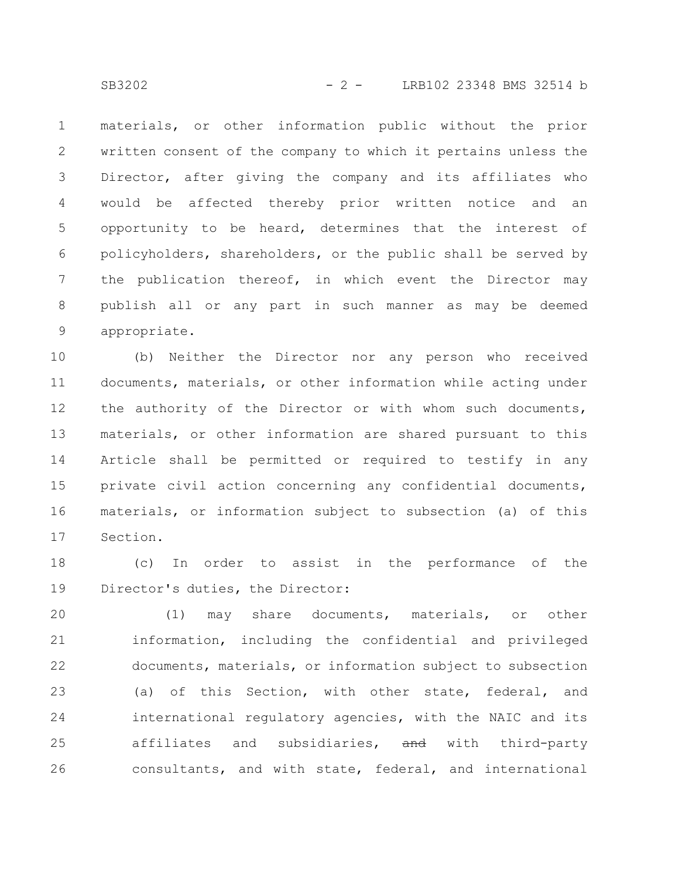materials, or other information public without the prior written consent of the company to which it pertains unless the Director, after giving the company and its affiliates who would be affected thereby prior written notice and an opportunity to be heard, determines that the interest of policyholders, shareholders, or the public shall be served by the publication thereof, in which event the Director may publish all or any part in such manner as may be deemed appropriate. 1 2 3 4 5 6 7 8 9

(b) Neither the Director nor any person who received documents, materials, or other information while acting under the authority of the Director or with whom such documents, materials, or other information are shared pursuant to this Article shall be permitted or required to testify in any private civil action concerning any confidential documents, materials, or information subject to subsection (a) of this Section. 10 11 12 13 14 15 16 17

(c) In order to assist in the performance of the Director's duties, the Director: 18 19

(1) may share documents, materials, or other information, including the confidential and privileged documents, materials, or information subject to subsection (a) of this Section, with other state, federal, and international regulatory agencies, with the NAIC and its affiliates and subsidiaries, and with third-party consultants, and with state, federal, and international 20 21 22 23 24 25 26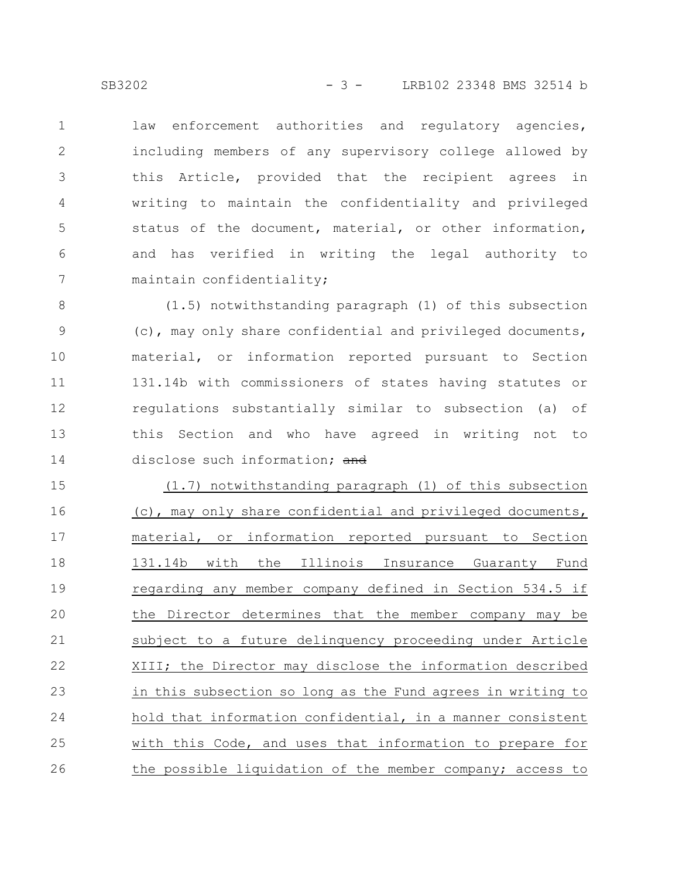law enforcement authorities and regulatory agencies, including members of any supervisory college allowed by this Article, provided that the recipient agrees in writing to maintain the confidentiality and privileged status of the document, material, or other information, and has verified in writing the legal authority to maintain confidentiality; 1 2 3 4 5 6 7

(1.5) notwithstanding paragraph (1) of this subsection (c), may only share confidential and privileged documents, material, or information reported pursuant to Section 131.14b with commissioners of states having statutes or regulations substantially similar to subsection (a) of this Section and who have agreed in writing not to disclose such information; and 8 9 10 11 12 13 14

(1.7) notwithstanding paragraph (1) of this subsection (c), may only share confidential and privileged documents, material, or information reported pursuant to Section 131.14b with the Illinois Insurance Guaranty Fund regarding any member company defined in Section 534.5 if the Director determines that the member company may be subject to a future delinquency proceeding under Article XIII; the Director may disclose the information described in this subsection so long as the Fund agrees in writing to hold that information confidential, in a manner consistent with this Code, and uses that information to prepare for the possible liquidation of the member company; access to 15 16 17 18 19 20 21 22 23 24 25 26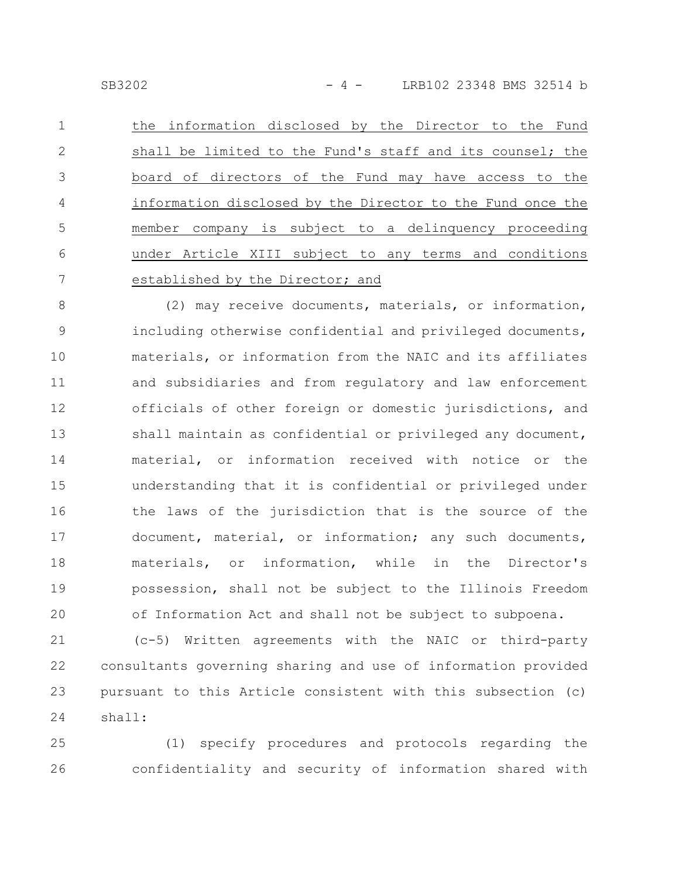SB3202 - 4 - LRB102 23348 BMS 32514 b

the information disclosed by the Director to the Fund shall be limited to the Fund's staff and its counsel; the board of directors of the Fund may have access to the information disclosed by the Director to the Fund once the member company is subject to a delinquency proceeding under Article XIII subject to any terms and conditions established by the Director; and 1 2 3 4 5 6 7

(2) may receive documents, materials, or information, including otherwise confidential and privileged documents, materials, or information from the NAIC and its affiliates and subsidiaries and from regulatory and law enforcement officials of other foreign or domestic jurisdictions, and shall maintain as confidential or privileged any document, material, or information received with notice or the understanding that it is confidential or privileged under the laws of the jurisdiction that is the source of the document, material, or information; any such documents, materials, or information, while in the Director's possession, shall not be subject to the Illinois Freedom of Information Act and shall not be subject to subpoena. 8 9 10 11 12 13 14 15 16 17 18 19 20

(c-5) Written agreements with the NAIC or third-party consultants governing sharing and use of information provided pursuant to this Article consistent with this subsection (c) shall: 21 22 23 24

(1) specify procedures and protocols regarding the confidentiality and security of information shared with 25 26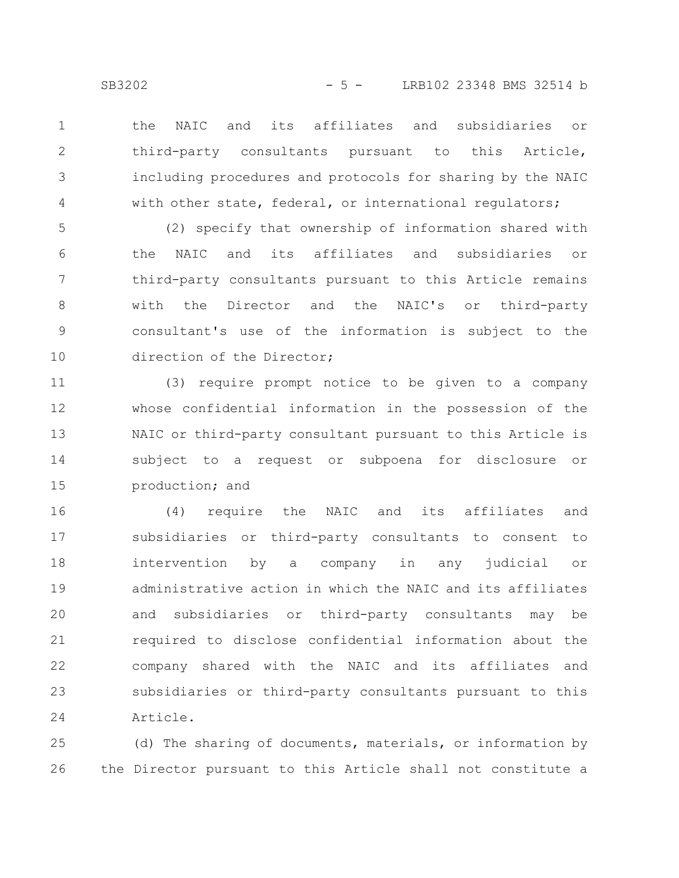the NAIC and its affiliates and subsidiaries or third-party consultants pursuant to this Article, including procedures and protocols for sharing by the NAIC with other state, federal, or international requlators; 1 2 3 4

(2) specify that ownership of information shared with the NAIC and its affiliates and subsidiaries or third-party consultants pursuant to this Article remains with the Director and the NAIC's or third-party consultant's use of the information is subject to the direction of the Director; 5 6 7 8 9 10

(3) require prompt notice to be given to a company whose confidential information in the possession of the NAIC or third-party consultant pursuant to this Article is subject to a request or subpoena for disclosure or production; and 11 12 13 14 15

(4) require the NAIC and its affiliates and subsidiaries or third-party consultants to consent to intervention by a company in any judicial or administrative action in which the NAIC and its affiliates and subsidiaries or third-party consultants may be required to disclose confidential information about the company shared with the NAIC and its affiliates and subsidiaries or third-party consultants pursuant to this Article. 16 17 18 19 20 21 22 23 24

(d) The sharing of documents, materials, or information by the Director pursuant to this Article shall not constitute a 25 26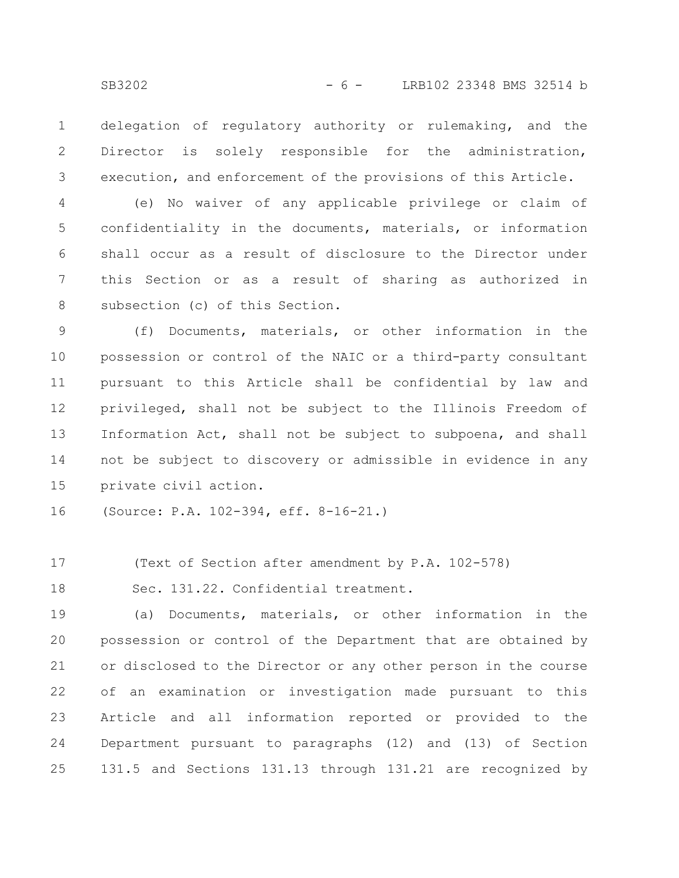delegation of regulatory authority or rulemaking, and the Director is solely responsible for the administration, execution, and enforcement of the provisions of this Article. 1 2 3

(e) No waiver of any applicable privilege or claim of confidentiality in the documents, materials, or information shall occur as a result of disclosure to the Director under this Section or as a result of sharing as authorized in subsection (c) of this Section. 4 5 6 7 8

(f) Documents, materials, or other information in the possession or control of the NAIC or a third-party consultant pursuant to this Article shall be confidential by law and privileged, shall not be subject to the Illinois Freedom of Information Act, shall not be subject to subpoena, and shall not be subject to discovery or admissible in evidence in any private civil action. 9 10 11 12 13 14 15

(Source: P.A. 102-394, eff. 8-16-21.) 16

(Text of Section after amendment by P.A. 102-578) 17

Sec. 131.22. Confidential treatment. 18

(a) Documents, materials, or other information in the possession or control of the Department that are obtained by or disclosed to the Director or any other person in the course of an examination or investigation made pursuant to this Article and all information reported or provided to the Department pursuant to paragraphs (12) and (13) of Section 131.5 and Sections 131.13 through 131.21 are recognized by 19 20 21 22 23 24 25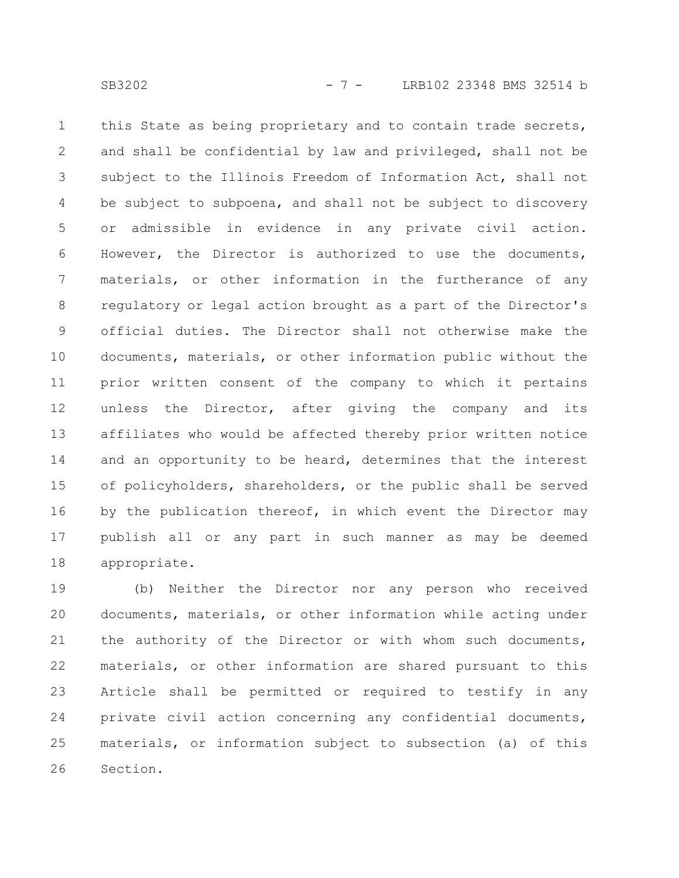this State as being proprietary and to contain trade secrets, and shall be confidential by law and privileged, shall not be subject to the Illinois Freedom of Information Act, shall not be subject to subpoena, and shall not be subject to discovery or admissible in evidence in any private civil action. However, the Director is authorized to use the documents, materials, or other information in the furtherance of any regulatory or legal action brought as a part of the Director's official duties. The Director shall not otherwise make the documents, materials, or other information public without the prior written consent of the company to which it pertains unless the Director, after giving the company and its affiliates who would be affected thereby prior written notice and an opportunity to be heard, determines that the interest of policyholders, shareholders, or the public shall be served by the publication thereof, in which event the Director may publish all or any part in such manner as may be deemed appropriate. 1 2 3 4 5 6 7 8 9 10 11 12 13 14 15 16 17 18

(b) Neither the Director nor any person who received documents, materials, or other information while acting under the authority of the Director or with whom such documents, materials, or other information are shared pursuant to this Article shall be permitted or required to testify in any private civil action concerning any confidential documents, materials, or information subject to subsection (a) of this Section. 19 20 21 22 23 24 25 26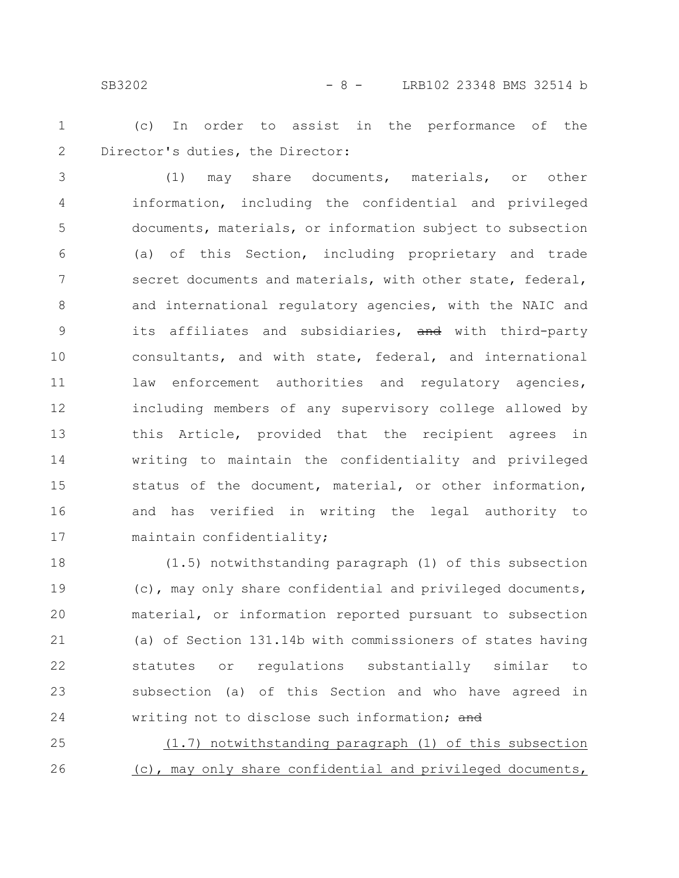### SB3202 - 8 - LRB102 23348 BMS 32514 b

(c) In order to assist in the performance of the Director's duties, the Director: 1 2

(1) may share documents, materials, or other information, including the confidential and privileged documents, materials, or information subject to subsection (a) of this Section, including proprietary and trade secret documents and materials, with other state, federal, and international regulatory agencies, with the NAIC and its affiliates and subsidiaries, and with third-party consultants, and with state, federal, and international law enforcement authorities and requlatory agencies, including members of any supervisory college allowed by this Article, provided that the recipient agrees in writing to maintain the confidentiality and privileged status of the document, material, or other information, and has verified in writing the legal authority to maintain confidentiality; 3 4 5 6 7 8 9 10 11 12 13 14 15 16 17

(1.5) notwithstanding paragraph (1) of this subsection (c), may only share confidential and privileged documents, material, or information reported pursuant to subsection (a) of Section 131.14b with commissioners of states having statutes or regulations substantially similar to subsection (a) of this Section and who have agreed in writing not to disclose such information; and 18 19 20 21 22 23 24

(1.7) notwithstanding paragraph (1) of this subsection (c), may only share confidential and privileged documents, 25 26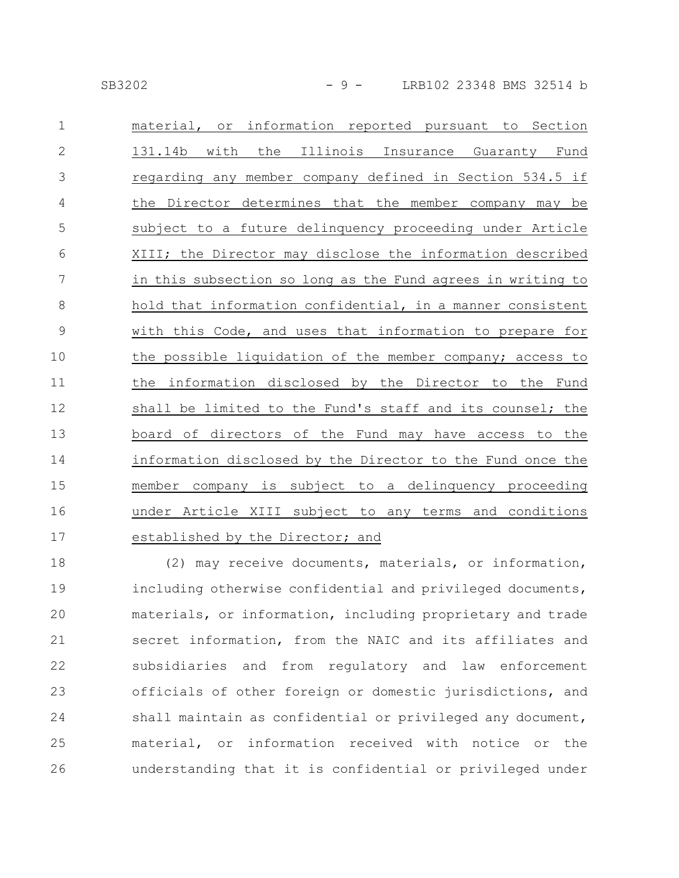| SB3202 |  |  |
|--------|--|--|
|        |  |  |

| $\mathbf 1$    | material, or information reported pursuant to Section       |
|----------------|-------------------------------------------------------------|
| $\overline{2}$ | the<br>Illinois Insurance Guaranty Fund<br>131.14b<br>with  |
| 3              | regarding any member company defined in Section 534.5 if    |
| $\overline{4}$ | the Director determines that the member company may be      |
| 5              | subject to a future delinquency proceeding under Article    |
| 6              | XIII; the Director may disclose the information described   |
| 7              | in this subsection so long as the Fund agrees in writing to |
| $8\,$          | hold that information confidential, in a manner consistent  |
| $\mathcal{G}$  | with this Code, and uses that information to prepare for    |
| 10             | the possible liquidation of the member company; access to   |
| 11             | information disclosed by the Director to the Fund<br>the    |
| 12             | shall be limited to the Fund's staff and its counsel; the   |
| 13             | board of directors of the Fund may have access to the       |
| 14             | information disclosed by the Director to the Fund once the  |
| 15             | member company is subject to a delinquency proceeding       |
| 16             | under Article XIII subject to any terms and conditions      |
| 17             | established by the Director; and                            |

(2) may receive documents, materials, or information, including otherwise confidential and privileged documents, materials, or information, including proprietary and trade secret information, from the NAIC and its affiliates and subsidiaries and from regulatory and law enforcement officials of other foreign or domestic jurisdictions, and shall maintain as confidential or privileged any document, material, or information received with notice or the understanding that it is confidential or privileged under 18 19 20 21 22 23 24 25 26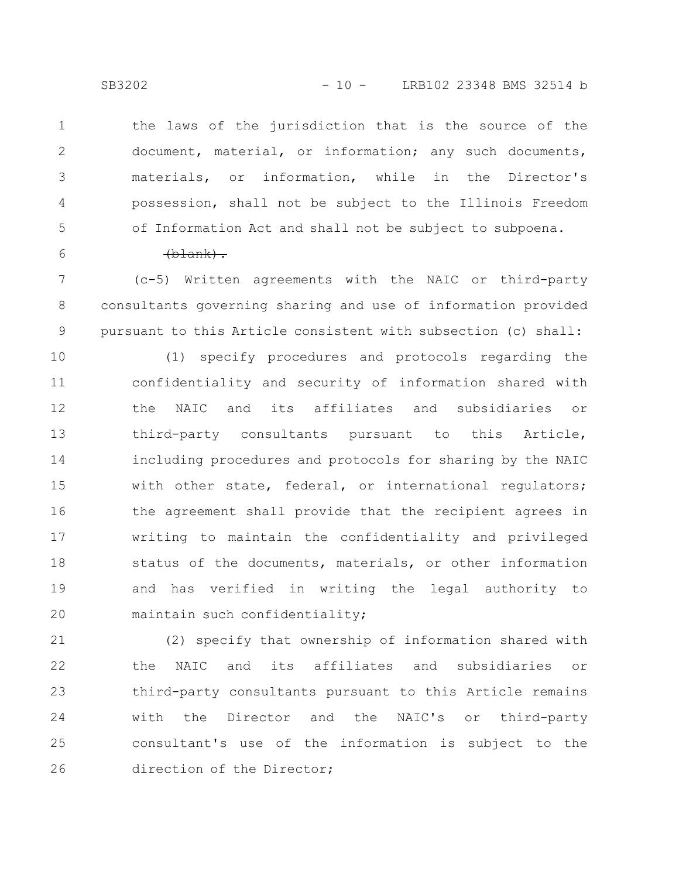the laws of the jurisdiction that is the source of the document, material, or information; any such documents, materials, or information, while in the Director's possession, shall not be subject to the Illinois Freedom of Information Act and shall not be subject to subpoena. 1 2 3 4 5

6

#### (blank).

(c-5) Written agreements with the NAIC or third-party consultants governing sharing and use of information provided pursuant to this Article consistent with subsection (c) shall: 7 8 9

(1) specify procedures and protocols regarding the confidentiality and security of information shared with the NAIC and its affiliates and subsidiaries or third-party consultants pursuant to this Article, including procedures and protocols for sharing by the NAIC with other state, federal, or international regulators; the agreement shall provide that the recipient agrees in writing to maintain the confidentiality and privileged status of the documents, materials, or other information and has verified in writing the legal authority to maintain such confidentiality; 10 11 12 13 14 15 16 17 18 19 20

(2) specify that ownership of information shared with the NAIC and its affiliates and subsidiaries or third-party consultants pursuant to this Article remains with the Director and the NAIC's or third-party consultant's use of the information is subject to the direction of the Director; 21 22 23 24 25 26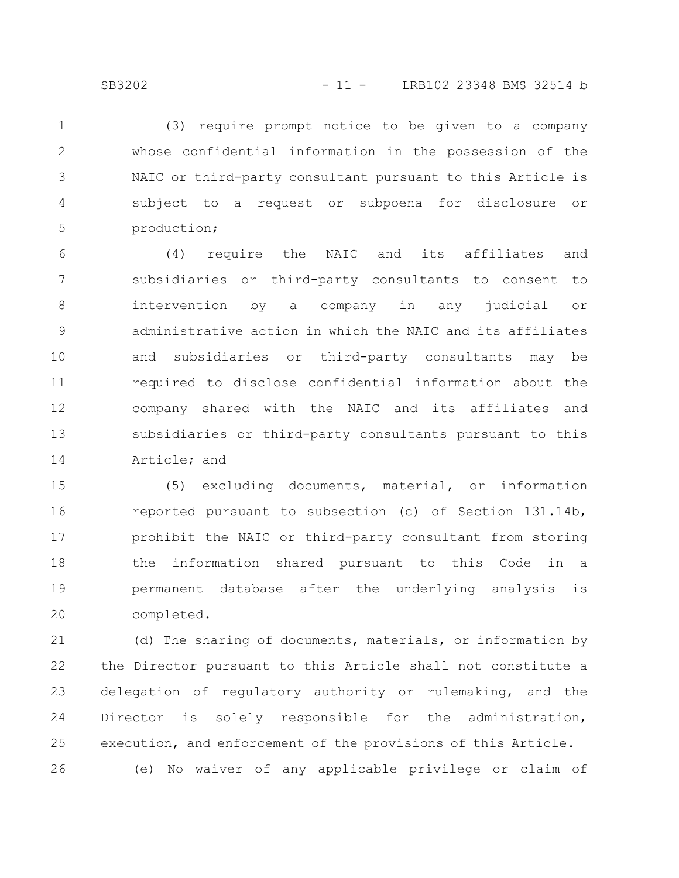(3) require prompt notice to be given to a company whose confidential information in the possession of the NAIC or third-party consultant pursuant to this Article is subject to a request or subpoena for disclosure or production; 1 2 3 4 5

(4) require the NAIC and its affiliates and subsidiaries or third-party consultants to consent to intervention by a company in any judicial or administrative action in which the NAIC and its affiliates and subsidiaries or third-party consultants may be required to disclose confidential information about the company shared with the NAIC and its affiliates and subsidiaries or third-party consultants pursuant to this Article; and 6 7 8 9 10 11 12 13 14

(5) excluding documents, material, or information reported pursuant to subsection (c) of Section 131.14b, prohibit the NAIC or third-party consultant from storing the information shared pursuant to this Code in a permanent database after the underlying analysis is completed. 15 16 17 18 19 20

(d) The sharing of documents, materials, or information by the Director pursuant to this Article shall not constitute a delegation of regulatory authority or rulemaking, and the Director is solely responsible for the administration, execution, and enforcement of the provisions of this Article. (e) No waiver of any applicable privilege or claim of 21 22 23 24 25 26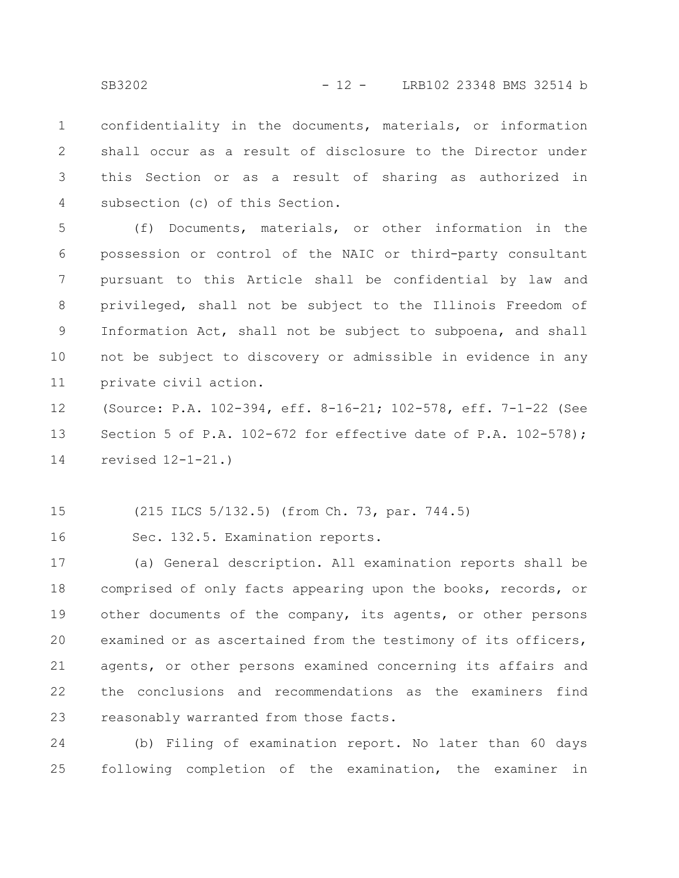confidentiality in the documents, materials, or information shall occur as a result of disclosure to the Director under this Section or as a result of sharing as authorized in subsection (c) of this Section. 1 2 3 4

(f) Documents, materials, or other information in the possession or control of the NAIC or third-party consultant pursuant to this Article shall be confidential by law and privileged, shall not be subject to the Illinois Freedom of Information Act, shall not be subject to subpoena, and shall not be subject to discovery or admissible in evidence in any private civil action. 5 6 7 8 9 10 11

(Source: P.A. 102-394, eff. 8-16-21; 102-578, eff. 7-1-22 (See Section 5 of P.A. 102-672 for effective date of P.A. 102-578); revised 12-1-21.) 12 13 14

(215 ILCS 5/132.5) (from Ch. 73, par. 744.5) 15

Sec. 132.5. Examination reports. 16

(a) General description. All examination reports shall be comprised of only facts appearing upon the books, records, or other documents of the company, its agents, or other persons examined or as ascertained from the testimony of its officers, agents, or other persons examined concerning its affairs and the conclusions and recommendations as the examiners find reasonably warranted from those facts. 17 18 19 20 21 22 23

(b) Filing of examination report. No later than 60 days following completion of the examination, the examiner in 24 25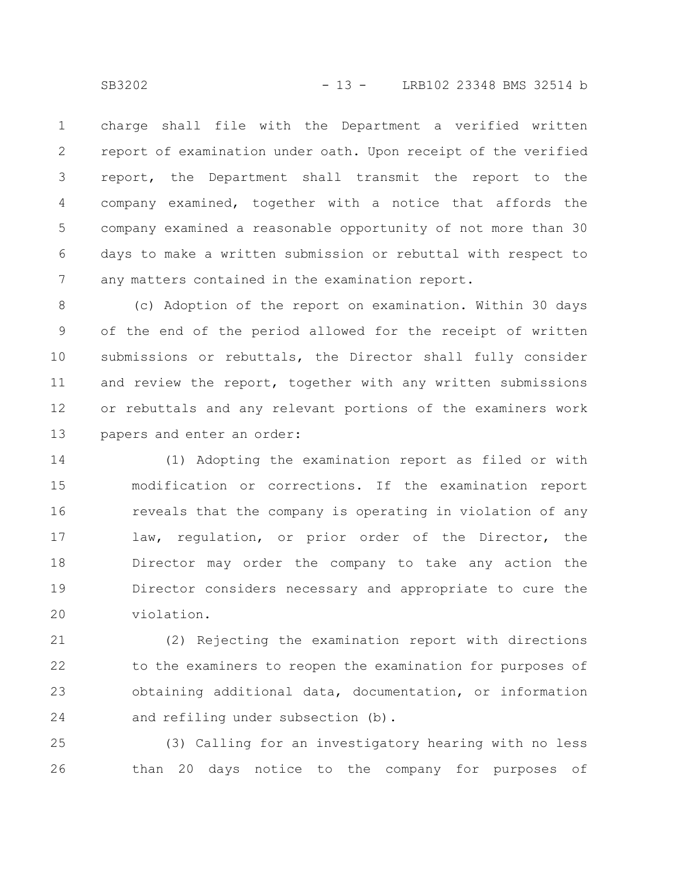SB3202 - 13 - LRB102 23348 BMS 32514 b

charge shall file with the Department a verified written report of examination under oath. Upon receipt of the verified report, the Department shall transmit the report to the company examined, together with a notice that affords the company examined a reasonable opportunity of not more than 30 days to make a written submission or rebuttal with respect to any matters contained in the examination report. 1 2 3 4 5 6 7

(c) Adoption of the report on examination. Within 30 days of the end of the period allowed for the receipt of written submissions or rebuttals, the Director shall fully consider and review the report, together with any written submissions or rebuttals and any relevant portions of the examiners work papers and enter an order: 8 9 10 11 12 13

(1) Adopting the examination report as filed or with modification or corrections. If the examination report reveals that the company is operating in violation of any law, regulation, or prior order of the Director, the Director may order the company to take any action the Director considers necessary and appropriate to cure the violation. 14 15 16 17 18 19 20

(2) Rejecting the examination report with directions to the examiners to reopen the examination for purposes of obtaining additional data, documentation, or information and refiling under subsection (b). 21 22 23 24

(3) Calling for an investigatory hearing with no less than 20 days notice to the company for purposes of 25 26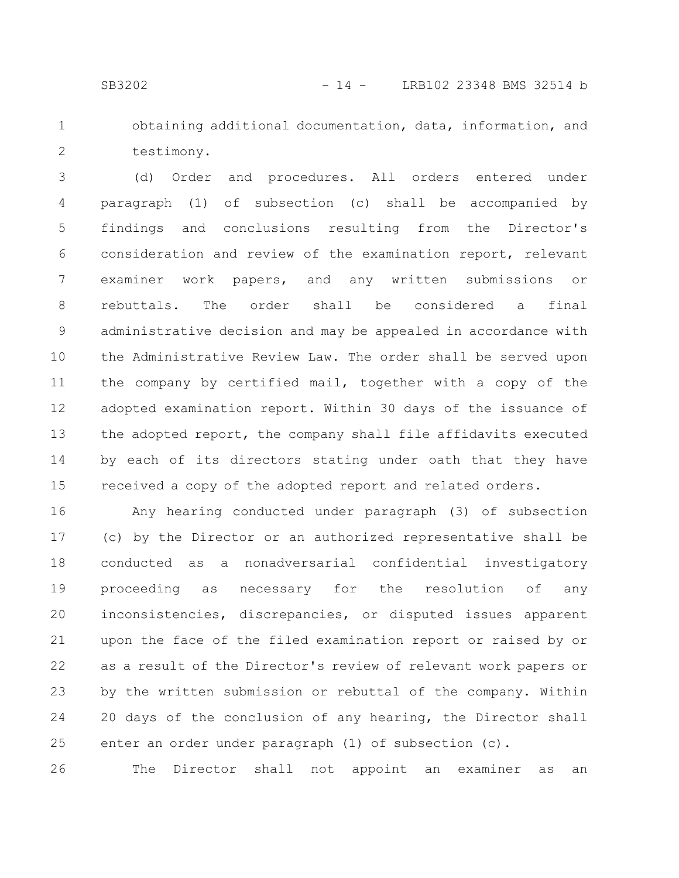- 
- 1 2

obtaining additional documentation, data, information, and testimony.

(d) Order and procedures. All orders entered under paragraph (1) of subsection (c) shall be accompanied by findings and conclusions resulting from the Director's consideration and review of the examination report, relevant examiner work papers, and any written submissions or rebuttals. The order shall be considered a final administrative decision and may be appealed in accordance with the Administrative Review Law. The order shall be served upon the company by certified mail, together with a copy of the adopted examination report. Within 30 days of the issuance of the adopted report, the company shall file affidavits executed by each of its directors stating under oath that they have received a copy of the adopted report and related orders. 3 4 5 6 7 8 9 10 11 12 13 14 15

Any hearing conducted under paragraph (3) of subsection (c) by the Director or an authorized representative shall be conducted as a nonadversarial confidential investigatory proceeding as necessary for the resolution of any inconsistencies, discrepancies, or disputed issues apparent upon the face of the filed examination report or raised by or as a result of the Director's review of relevant work papers or by the written submission or rebuttal of the company. Within 20 days of the conclusion of any hearing, the Director shall enter an order under paragraph (1) of subsection (c). 16 17 18 19 20 21 22 23 24 25

The Director shall not appoint an examiner as an 26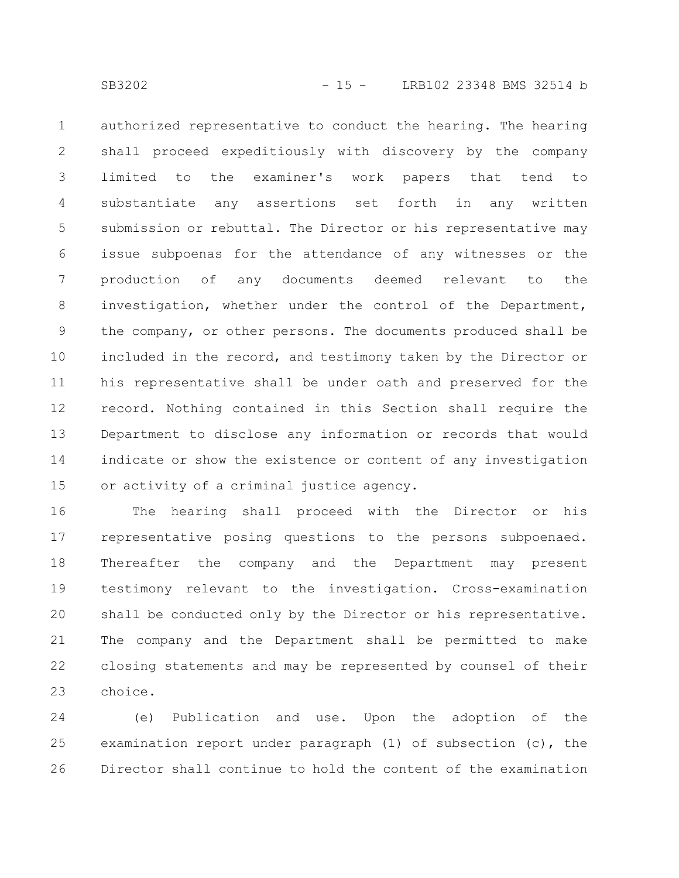authorized representative to conduct the hearing. The hearing shall proceed expeditiously with discovery by the company limited to the examiner's work papers that tend to substantiate any assertions set forth in any written submission or rebuttal. The Director or his representative may issue subpoenas for the attendance of any witnesses or the production of any documents deemed relevant to the investigation, whether under the control of the Department, the company, or other persons. The documents produced shall be included in the record, and testimony taken by the Director or his representative shall be under oath and preserved for the record. Nothing contained in this Section shall require the Department to disclose any information or records that would indicate or show the existence or content of any investigation or activity of a criminal justice agency. 1 2 3 4 5 6 7 8 9 10 11 12 13 14 15

The hearing shall proceed with the Director or his representative posing questions to the persons subpoenaed. Thereafter the company and the Department may present testimony relevant to the investigation. Cross-examination shall be conducted only by the Director or his representative. The company and the Department shall be permitted to make closing statements and may be represented by counsel of their choice. 16 17 18 19 20 21 22 23

(e) Publication and use. Upon the adoption of the examination report under paragraph (1) of subsection (c), the Director shall continue to hold the content of the examination 24 25 26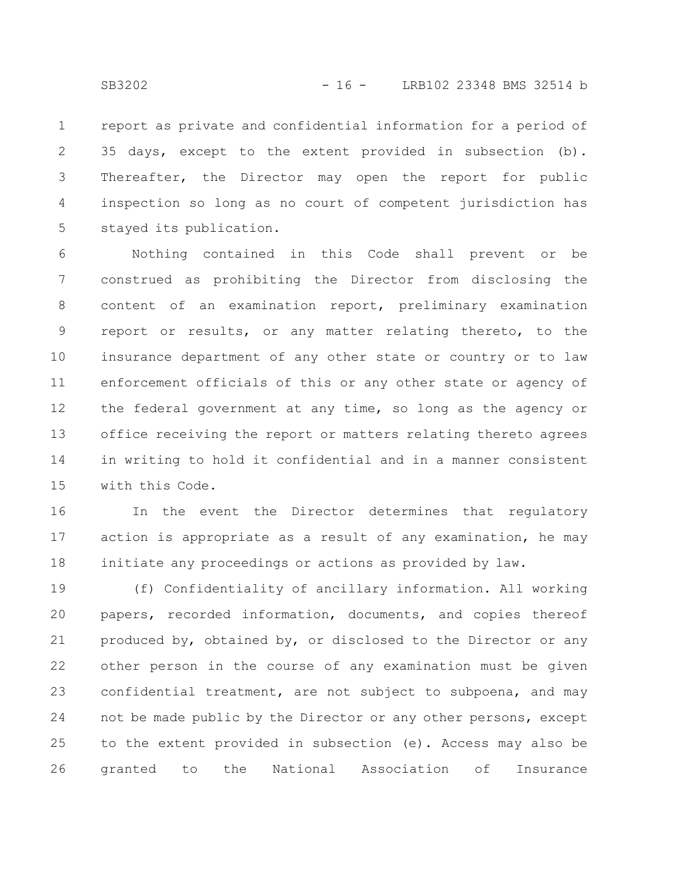report as private and confidential information for a period of 35 days, except to the extent provided in subsection (b). Thereafter, the Director may open the report for public inspection so long as no court of competent jurisdiction has stayed its publication. 1 2 3 4 5

Nothing contained in this Code shall prevent or be construed as prohibiting the Director from disclosing the content of an examination report, preliminary examination report or results, or any matter relating thereto, to the insurance department of any other state or country or to law enforcement officials of this or any other state or agency of the federal government at any time, so long as the agency or office receiving the report or matters relating thereto agrees in writing to hold it confidential and in a manner consistent with this Code. 6 7 8 9 10 11 12 13 14 15

In the event the Director determines that regulatory action is appropriate as a result of any examination, he may initiate any proceedings or actions as provided by law. 16 17 18

(f) Confidentiality of ancillary information. All working papers, recorded information, documents, and copies thereof produced by, obtained by, or disclosed to the Director or any other person in the course of any examination must be given confidential treatment, are not subject to subpoena, and may not be made public by the Director or any other persons, except to the extent provided in subsection (e). Access may also be granted to the National Association of Insurance 19 20 21 22 23 24 25 26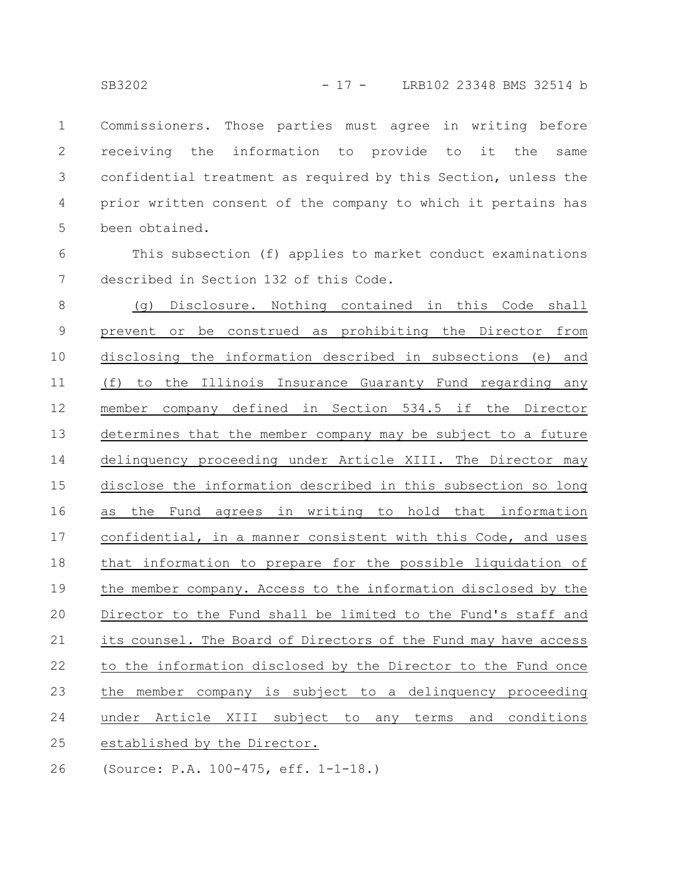Commissioners. Those parties must agree in writing before receiving the information to provide to it the same confidential treatment as required by this Section, unless the prior written consent of the company to which it pertains has been obtained. 1 2 3 4 5

This subsection (f) applies to market conduct examinations described in Section 132 of this Code. 6 7

(g) Disclosure. Nothing contained in this Code shall prevent or be construed as prohibiting the Director from disclosing the information described in subsections (e) and (f) to the Illinois Insurance Guaranty Fund regarding any member company defined in Section 534.5 if the Director determines that the member company may be subject to a future delinquency proceeding under Article XIII. The Director may disclose the information described in this subsection so long as the Fund agrees in writing to hold that information confidential, in a manner consistent with this Code, and uses that information to prepare for the possible liquidation of the member company. Access to the information disclosed by the Director to the Fund shall be limited to the Fund's staff and its counsel. The Board of Directors of the Fund may have access to the information disclosed by the Director to the Fund once the member company is subject to a delinquency proceeding under Article XIII subject to any terms and conditions established by the Director. 8 9 10 11 12 13 14 15 16 17 18 19 20 21 22 23 24 25

(Source: P.A. 100-475, eff. 1-1-18.) 26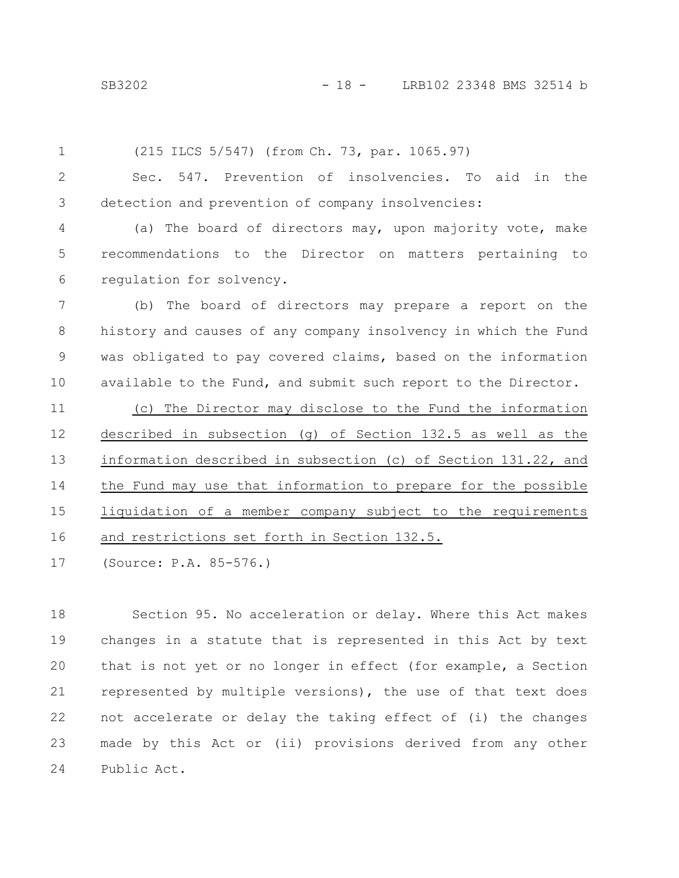SB3202 - 18 - LRB102 23348 BMS 32514 b

(215 ILCS 5/547) (from Ch. 73, par. 1065.97) 1

Sec. 547. Prevention of insolvencies. To aid in the detection and prevention of company insolvencies: 2 3

(a) The board of directors may, upon majority vote, make recommendations to the Director on matters pertaining to regulation for solvency. 4 5 6

(b) The board of directors may prepare a report on the history and causes of any company insolvency in which the Fund was obligated to pay covered claims, based on the information available to the Fund, and submit such report to the Director. 7 8 9 10

(c) The Director may disclose to the Fund the information described in subsection (g) of Section 132.5 as well as the information described in subsection (c) of Section 131.22, and the Fund may use that information to prepare for the possible liquidation of a member company subject to the requirements and restrictions set forth in Section 132.5. 11 12 13 14 15 16

(Source: P.A. 85-576.) 17

Section 95. No acceleration or delay. Where this Act makes changes in a statute that is represented in this Act by text that is not yet or no longer in effect (for example, a Section represented by multiple versions), the use of that text does not accelerate or delay the taking effect of (i) the changes made by this Act or (ii) provisions derived from any other Public Act. 18 19 20 21 22 23 24